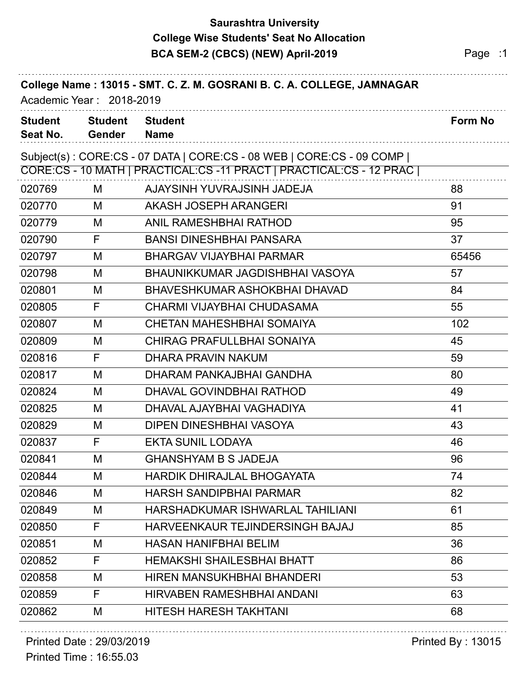### **Saurashtra University BCA SEM-2 (CBCS) (NEW) April-2019 Page :1 College Wise Students' Seat No Allocation**

| College Name: 13015 - SMT. C. Z. M. GOSRANI B. C. A. COLLEGE, JAMNAGAR<br>Academic Year: 2018-2019 |                                 |                                                                                                                                               |                |
|----------------------------------------------------------------------------------------------------|---------------------------------|-----------------------------------------------------------------------------------------------------------------------------------------------|----------------|
| <b>Student</b><br>Seat No.                                                                         | <b>Student</b><br><b>Gender</b> | <b>Student</b><br><b>Name</b>                                                                                                                 | <b>Form No</b> |
|                                                                                                    |                                 | Subject(s): CORE:CS - 07 DATA   CORE:CS - 08 WEB   CORE:CS - 09 COMP  <br>CORE:CS - 10 MATH   PRACTICAL:CS -11 PRACT   PRACTICAL:CS - 12 PRAC |                |
| 020769                                                                                             | М                               | AJAYSINH YUVRAJSINH JADEJA                                                                                                                    | 88             |
| 020770                                                                                             | M                               | AKASH JOSEPH ARANGERI                                                                                                                         | 91             |
| 020779                                                                                             | M                               | <b>ANIL RAMESHBHAI RATHOD</b>                                                                                                                 | 95             |
| 020790                                                                                             | F                               | <b>BANSI DINESHBHAI PANSARA</b>                                                                                                               | 37             |
| 020797                                                                                             | M                               | <b>BHARGAV VIJAYBHAI PARMAR</b>                                                                                                               | 65456          |
| 020798                                                                                             | M                               | BHAUNIKKUMAR JAGDISHBHAI VASOYA                                                                                                               | 57             |
| 020801                                                                                             | M                               | BHAVESHKUMAR ASHOKBHAI DHAVAD                                                                                                                 | 84             |
| 020805                                                                                             | F                               | CHARMI VIJAYBHAI CHUDASAMA                                                                                                                    | 55             |
| 020807                                                                                             | M                               | <b>CHETAN MAHESHBHAI SOMAIYA</b>                                                                                                              | 102            |
| 020809                                                                                             | M                               | <b>CHIRAG PRAFULLBHAI SONAIYA</b>                                                                                                             | 45             |
| 020816                                                                                             | F                               | DHARA PRAVIN NAKUM                                                                                                                            | 59             |
| 020817                                                                                             | M                               | DHARAM PANKAJBHAI GANDHA                                                                                                                      | 80             |
| 020824                                                                                             | M                               | DHAVAL GOVINDBHAI RATHOD                                                                                                                      | 49             |
| 020825                                                                                             | M                               | DHAVAL AJAYBHAI VAGHADIYA                                                                                                                     | 41             |
| 020829                                                                                             | M                               | DIPEN DINESHBHAI VASOYA                                                                                                                       | 43             |
| 020837                                                                                             | F                               | <b>EKTA SUNIL LODAYA</b>                                                                                                                      | 46             |
| 020841                                                                                             | M                               | <b>GHANSHYAM B S JADEJA</b>                                                                                                                   | 96             |
| 020844                                                                                             | M                               | <b>HARDIK DHIRAJLAL BHOGAYATA</b>                                                                                                             | 74             |
| 020846                                                                                             | M                               | <b>HARSH SANDIPBHAI PARMAR</b>                                                                                                                | 82             |
| 020849                                                                                             | M                               | HARSHADKUMAR ISHWARLAL TAHILIANI                                                                                                              | 61             |
| 020850                                                                                             | F                               | HARVEENKAUR TEJINDERSINGH BAJAJ                                                                                                               | 85             |
| 020851                                                                                             | M                               | <b>HASAN HANIFBHAI BELIM</b>                                                                                                                  | 36             |
| 020852                                                                                             | F                               | <b>HEMAKSHI SHAILESBHAI BHATT</b>                                                                                                             | 86             |
| 020858                                                                                             | M                               | <b>HIREN MANSUKHBHAI BHANDERI</b>                                                                                                             | 53             |
| 020859                                                                                             | F                               | <b>HIRVABEN RAMESHBHAI ANDANI</b>                                                                                                             | 63             |
| 020862                                                                                             | M                               | HITESH HARESH TAKHTANI                                                                                                                        | 68             |

#### Printed Date : 29/03/2019 **Printed By : 13015**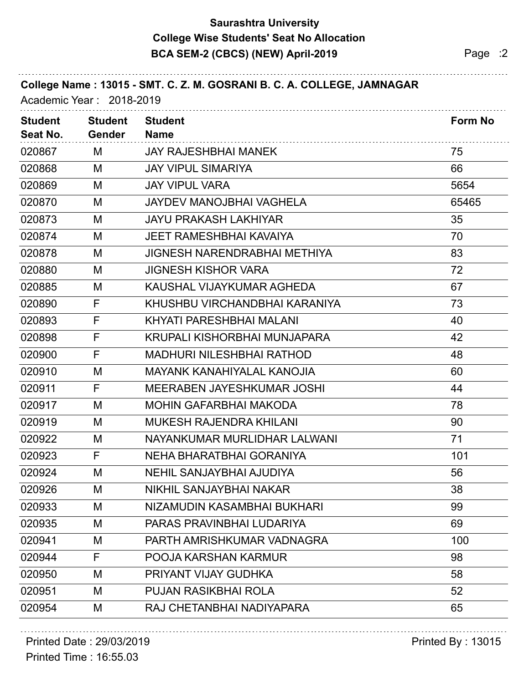## **Saurashtra University BCA SEM-2 (CBCS) (NEW) April-2019 Page :2 College Wise Students' Seat No Allocation**

| College Name: 13015 - SMT. C. Z. M. GOSRANI B. C. A. COLLEGE, JAMNAGAR<br>Academic Year: 2018-2019 |                                 |                                     |                |  |  |
|----------------------------------------------------------------------------------------------------|---------------------------------|-------------------------------------|----------------|--|--|
| <b>Student</b><br>Seat No.                                                                         | <b>Student</b><br><b>Gender</b> | <b>Student</b><br><b>Name</b>       | <b>Form No</b> |  |  |
| 020867                                                                                             | M                               | <b>JAY RAJESHBHAI MANEK</b>         | 75             |  |  |
| 020868                                                                                             | M                               | <b>JAY VIPUL SIMARIYA</b>           | 66             |  |  |
| 020869                                                                                             | M                               | <b>JAY VIPUL VARA</b>               | 5654           |  |  |
| 020870                                                                                             | M                               | <b>JAYDEV MANOJBHAI VAGHELA</b>     | 65465          |  |  |
| 020873                                                                                             | M                               | <b>JAYU PRAKASH LAKHIYAR</b>        | 35             |  |  |
| 020874                                                                                             | M                               | <b>JEET RAMESHBHAI KAVAIYA</b>      | 70             |  |  |
| 020878                                                                                             | M                               | <b>JIGNESH NARENDRABHAI METHIYA</b> | 83             |  |  |
| 020880                                                                                             | M                               | <b>JIGNESH KISHOR VARA</b>          | 72             |  |  |
| 020885                                                                                             | M                               | KAUSHAL VIJAYKUMAR AGHEDA           | 67             |  |  |
| 020890                                                                                             | F                               | KHUSHBU VIRCHANDBHAI KARANIYA       | 73             |  |  |
| 020893                                                                                             | F                               | KHYATI PARESHBHAI MALANI            | 40             |  |  |
| 020898                                                                                             | F                               | KRUPALI KISHORBHAI MUNJAPARA        | 42             |  |  |
| 020900                                                                                             | F                               | <b>MADHURI NILESHBHAI RATHOD</b>    | 48             |  |  |
| 020910                                                                                             | M                               | <b>MAYANK KANAHIYALAL KANOJIA</b>   | 60             |  |  |
| 020911                                                                                             | F                               | MEERABEN JAYESHKUMAR JOSHI          | 44             |  |  |
| 020917                                                                                             | M                               | <b>MOHIN GAFARBHAI MAKODA</b>       | 78             |  |  |
| 020919                                                                                             | M                               | <b>MUKESH RAJENDRA KHILANI</b>      | 90             |  |  |
| 020922                                                                                             | M                               | NAYANKUMAR MURLIDHAR LALWANI        | 71             |  |  |
| 020923                                                                                             | F                               | NEHA BHARATBHAI GORANIYA            | 101            |  |  |
| 020924                                                                                             | M                               | <b>NEHIL SANJAYBHAI AJUDIYA</b>     | 56             |  |  |
| 020926                                                                                             | M                               | NIKHIL SANJAYBHAI NAKAR             | 38             |  |  |
| 020933                                                                                             | M                               | NIZAMUDIN KASAMBHAI BUKHARI         | 99             |  |  |
| 020935                                                                                             | M                               | PARAS PRAVINBHAI LUDARIYA           | 69             |  |  |
| 020941                                                                                             | M                               | PARTH AMRISHKUMAR VADNAGRA          | 100            |  |  |
| 020944                                                                                             | F                               | POOJA KARSHAN KARMUR                | 98             |  |  |
| 020950                                                                                             | M                               | PRIYANT VIJAY GUDHKA                | 58             |  |  |
| 020951                                                                                             | M                               | <b>PUJAN RASIKBHAI ROLA</b>         | 52             |  |  |
| 020954                                                                                             | M                               | RAJ CHETANBHAI NADIYAPARA           | 65             |  |  |

# Printed Date : 29/03/2019 **Printed By : 13015**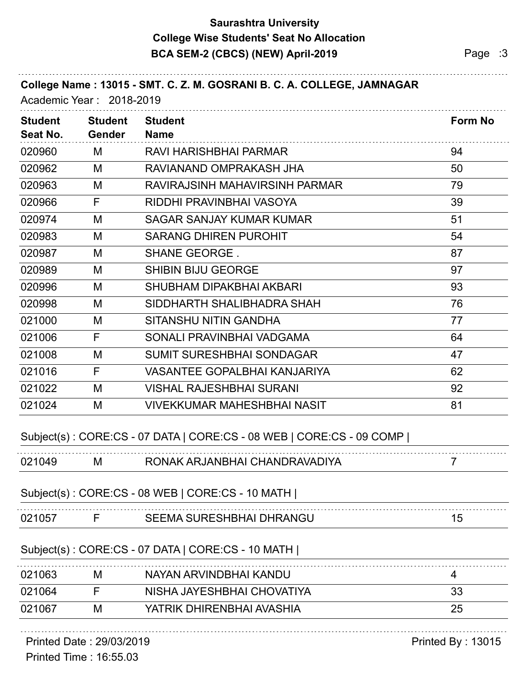### **Saurashtra University BCA SEM-2 (CBCS) (NEW) April-2019 Page :3 College Wise Students' Seat No Allocation**

| <b>Student</b><br>Seat No. | <b>Student</b><br><b>Gender</b> | <b>Student</b><br><b>Name</b>                                        | <b>Form No</b> |
|----------------------------|---------------------------------|----------------------------------------------------------------------|----------------|
| 020960                     | M                               | RAVI HARISHBHAI PARMAR                                               | 94             |
| 020962                     | M                               | RAVIANAND OMPRAKASH JHA                                              | 50             |
| 020963                     | M                               | RAVIRAJSINH MAHAVIRSINH PARMAR                                       | 79             |
| 020966                     | F                               | RIDDHI PRAVINBHAI VASOYA                                             | 39             |
| 020974                     | M                               | <b>SAGAR SANJAY KUMAR KUMAR</b>                                      | 51             |
| 020983                     | M                               | <b>SARANG DHIREN PUROHIT</b>                                         | 54             |
| 020987                     | M                               | <b>SHANE GEORGE.</b>                                                 | 87             |
| 020989                     | M                               | <b>SHIBIN BIJU GEORGE</b>                                            | 97             |
| 020996                     | M                               | SHUBHAM DIPAKBHAI AKBARI                                             | 93             |
| 020998                     | M                               | SIDDHARTH SHALIBHADRA SHAH                                           | 76             |
| 021000                     | M                               | <b>SITANSHU NITIN GANDHA</b>                                         | 77             |
| 021006                     | F                               | SONALI PRAVINBHAI VADGAMA                                            | 64             |
| 021008                     | M                               | <b>SUMIT SURESHBHAI SONDAGAR</b>                                     | 47             |
| 021016                     | F                               | <b>VASANTEE GOPALBHAI KANJARIYA</b>                                  | 62             |
| 021022                     | M                               | <b>VISHAL RAJESHBHAI SURANI</b>                                      | 92             |
| 021024                     | M                               | <b>VIVEKKUMAR MAHESHBHAI NASIT</b>                                   | 81             |
|                            |                                 | Subject(s): CORE:CS - 07 DATA   CORE:CS - 08 WEB   CORE:CS - 09 COMP |                |
| 021049                     | M                               | RONAK ARJANBHAI CHANDRAVADIYA                                        | 7              |
|                            |                                 | Subject(s): CORE:CS - 08 WEB   CORE:CS - 10 MATH                     |                |
| 021057                     | F                               | <b>SEEMA SURESHBHAI DHRANGU</b>                                      | 15             |
|                            |                                 | Subject(s): CORE:CS - 07 DATA   CORE:CS - 10 MATH                    |                |
| 021063                     | M                               | NAYAN ARVINDBHAI KANDU                                               | 4              |
| 021064                     | F                               | NISHA JAYESHBHAI CHOVATIYA                                           | 33             |
| 021067                     | M                               | YATRIK DHIRENBHAI AVASHIA                                            | 25             |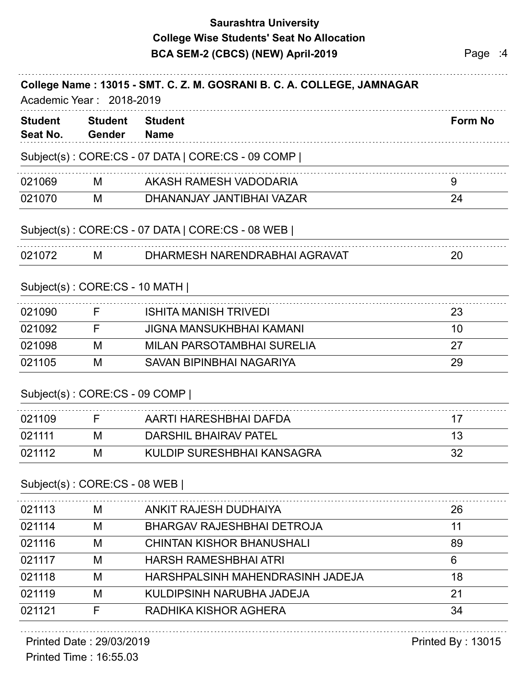### **Saurashtra University BCA SEM-2 (CBCS) (NEW) April-2019 Page :4 College Wise Students' Seat No Allocation**

| College Name: 13015 - SMT. C. Z. M. GOSRANI B. C. A. COLLEGE, JAMNAGAR<br>Academic Year: 2018-2019 |                                 |                                                   |                |  |
|----------------------------------------------------------------------------------------------------|---------------------------------|---------------------------------------------------|----------------|--|
| <b>Student</b><br>Seat No.                                                                         | <b>Student</b><br><b>Gender</b> | <b>Student</b><br><b>Name</b>                     | <b>Form No</b> |  |
|                                                                                                    |                                 | Subject(s): CORE:CS - 07 DATA   CORE:CS - 09 COMP |                |  |
| 021069                                                                                             | M                               | AKASH RAMESH VADODARIA                            | 9              |  |
| 021070                                                                                             | M                               | DHANANJAY JANTIBHAI VAZAR                         | 24             |  |
|                                                                                                    |                                 | Subject(s): CORE:CS - 07 DATA   CORE:CS - 08 WEB  |                |  |
| 021072                                                                                             | М                               | DHARMESH NARENDRABHAI AGRAVAT                     | 20             |  |
|                                                                                                    | Subject(s): CORE:CS - 10 MATH   |                                                   |                |  |
| 021090                                                                                             | F                               | <b>ISHITA MANISH TRIVEDI</b>                      | 23             |  |
| 021092                                                                                             | F                               | <b>JIGNA MANSUKHBHAI KAMANI</b>                   | 10             |  |
| 021098                                                                                             | M                               | <b>MILAN PARSOTAMBHAI SURELIA</b>                 | 27             |  |
| 021105                                                                                             | M                               | SAVAN BIPINBHAI NAGARIYA                          | 29             |  |
|                                                                                                    | Subject(s): CORE:CS - 09 COMP   |                                                   |                |  |
| 021109                                                                                             | F                               | AARTI HARESHBHAI DAFDA                            | 17             |  |
| 021111                                                                                             | M                               | <b>DARSHIL BHAIRAV PATEL</b>                      | 13             |  |
| 021112                                                                                             | M                               | KULDIP SURESHBHAI KANSAGRA                        | 32             |  |
|                                                                                                    | Subject(s): CORE:CS - 08 WEB    |                                                   |                |  |
| 021113                                                                                             | M                               | ANKIT RAJESH DUDHAIYA                             | 26             |  |
| 021114                                                                                             | M                               | <b>BHARGAV RAJESHBHAI DETROJA</b>                 | 11             |  |
| 021116                                                                                             | M                               | <b>CHINTAN KISHOR BHANUSHALI</b>                  | 89             |  |
| 021117                                                                                             | M                               | <b>HARSH RAMESHBHAI ATRI</b>                      | 6              |  |
| 021118                                                                                             | M                               | HARSHPALSINH MAHENDRASINH JADEJA                  | 18             |  |

021121 F RADHIKA KISHOR AGHERA 34 Printed Date : 29/03/2019 **Printed By : 13015** 

021119 M KULDIPSINH NARUBHA JADEJA 21